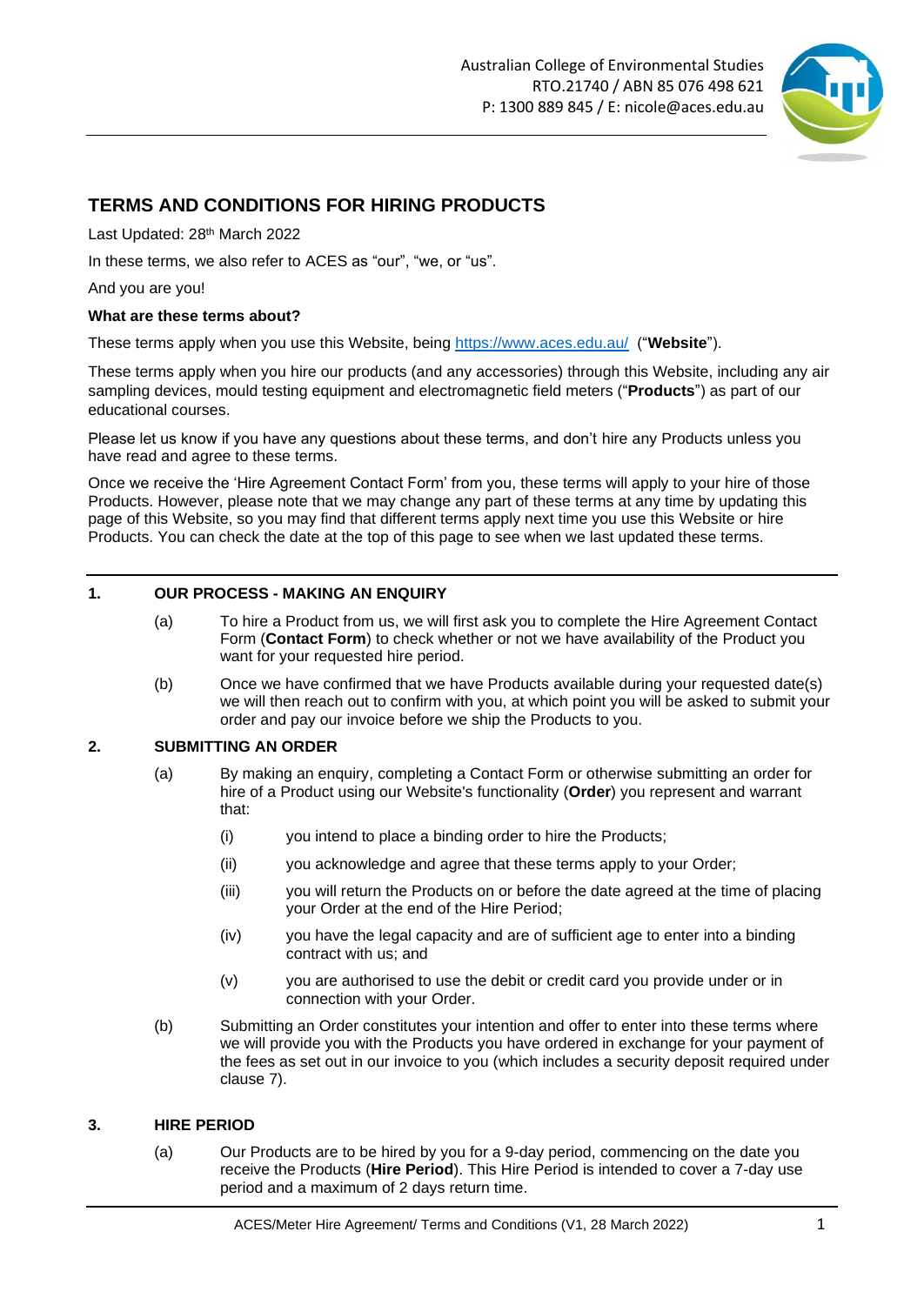

# **TERMS AND CONDITIONS FOR HIRING PRODUCTS**

Last Updated: 28<sup>th</sup> March 2022

In these terms, we also refer to ACES as "our", "we, or "us".

And you are you!

### **What are these terms about?**

These terms apply when you use this Website, being <https://www.aces.edu.au/> ("**Website**").

These terms apply when you hire our products (and any accessories) through this Website, including any air sampling devices, mould testing equipment and electromagnetic field meters ("**Products**") as part of our educational courses.

Please let us know if you have any questions about these terms, and don't hire any Products unless you have read and agree to these terms.

Once we receive the 'Hire Agreement Contact Form' from you, these terms will apply to your hire of those Products. However, please note that we may change any part of these terms at any time by updating this page of this Website, so you may find that different terms apply next time you use this Website or hire Products. You can check the date at the top of this page to see when we last updated these terms.

### **1. OUR PROCESS - MAKING AN ENQUIRY**

- (a) To hire a Product from us, we will first ask you to complete the Hire Agreement Contact Form (**Contact Form**) to check whether or not we have availability of the Product you want for your requested hire period.
- (b) Once we have confirmed that we have Products available during your requested date(s) we will then reach out to confirm with you, at which point you will be asked to submit your order and pay our invoice before we ship the Products to you.

### **2. SUBMITTING AN ORDER**

- (a) By making an enquiry, completing a Contact Form or otherwise submitting an order for hire of a Product using our Website's functionality (**Order**) you represent and warrant that:
	- (i) you intend to place a binding order to hire the Products;
	- (ii) you acknowledge and agree that these terms apply to your Order;
	- (iii) you will return the Products on or before the date agreed at the time of placing your Order at the end of the Hire Period;
	- (iv) you have the legal capacity and are of sufficient age to enter into a binding contract with us; and
	- (v) you are authorised to use the debit or credit card you provide under or in connection with your Order.
- (b) Submitting an Order constitutes your intention and offer to enter into these terms where we will provide you with the Products you have ordered in exchange for your payment of the fees as set out in our invoice to you (which includes a security deposit required under clause [7\)](#page-2-0).

#### **3. HIRE PERIOD**

(a) Our Products are to be hired by you for a 9-day period, commencing on the date you receive the Products (**Hire Period**). This Hire Period is intended to cover a 7-day use period and a maximum of 2 days return time.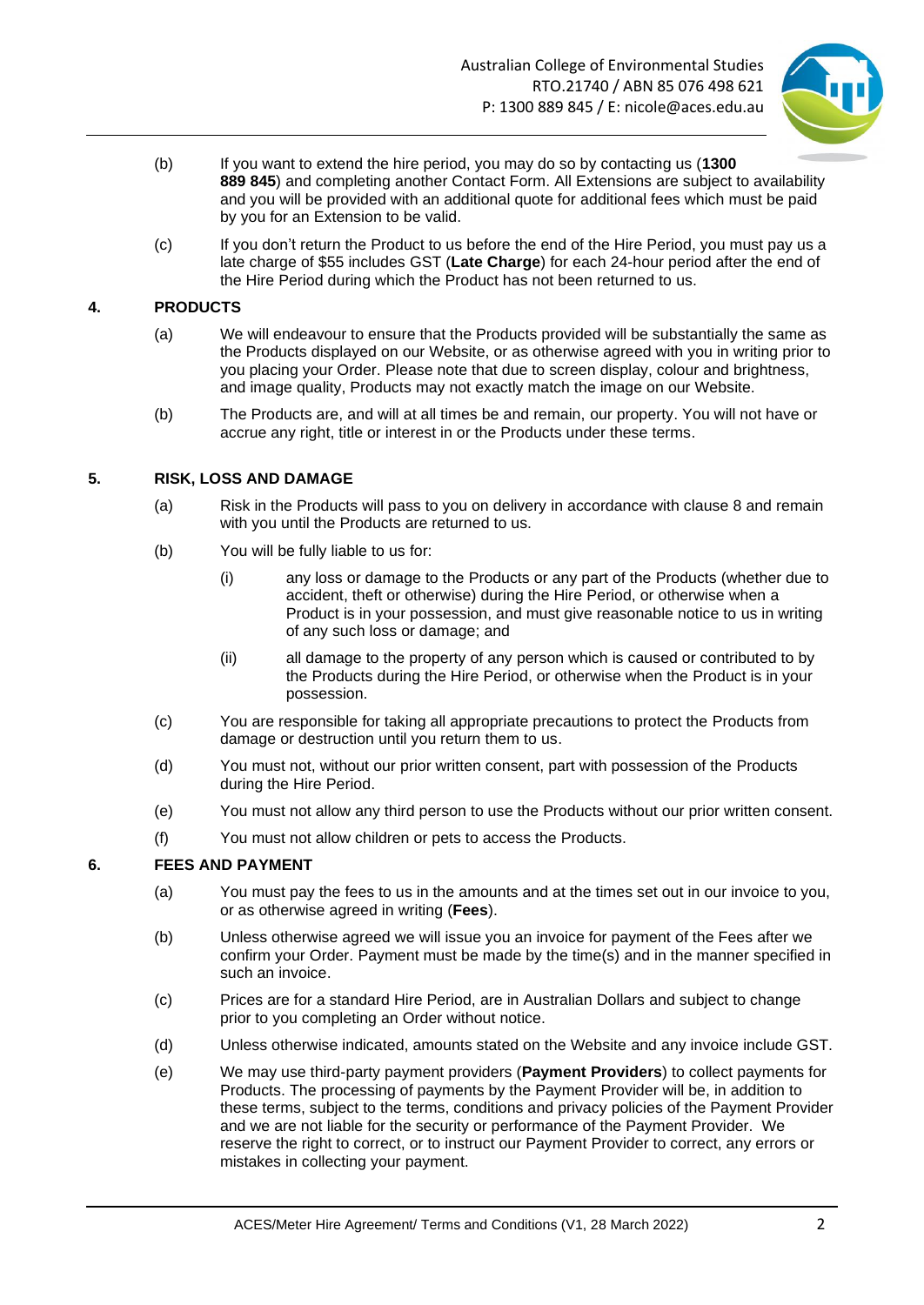

- (b) If you want to extend the hire period, you may do so by contacting us (**1300 889 845**) and completing another Contact Form. All Extensions are subject to availability and you will be provided with an additional quote for additional fees which must be paid by you for an Extension to be valid.
- (c) If you don't return the Product to us before the end of the Hire Period, you must pay us a late charge of \$55 includes GST (**Late Charge**) for each 24-hour period after the end of the Hire Period during which the Product has not been returned to us.

### <span id="page-1-0"></span>**4. PRODUCTS**

- (a) We will endeavour to ensure that the Products provided will be substantially the same as the Products displayed on our Website, or as otherwise agreed with you in writing prior to you placing your Order. Please note that due to screen display, colour and brightness, and image quality, Products may not exactly match the image on our Website.
- (b) The Products are, and will at all times be and remain, our property. You will not have or accrue any right, title or interest in or the Products under these terms.

### **5. RISK, LOSS AND DAMAGE**

- (a) Risk in the Products will pass to you on delivery in accordance with clause [8](#page-2-1) and remain with you until the Products are returned to us.
- (b) You will be fully liable to us for:
	- (i) any loss or damage to the Products or any part of the Products (whether due to accident, theft or otherwise) during the Hire Period, or otherwise when a Product is in your possession, and must give reasonable notice to us in writing of any such loss or damage; and
	- (ii) all damage to the property of any person which is caused or contributed to by the Products during the Hire Period, or otherwise when the Product is in your possession.
- (c) You are responsible for taking all appropriate precautions to protect the Products from damage or destruction until you return them to us.
- (d) You must not, without our prior written consent, part with possession of the Products during the Hire Period.
- (e) You must not allow any third person to use the Products without our prior written consent.
- (f) You must not allow children or pets to access the Products.

#### **6. FEES AND PAYMENT**

- (a) You must pay the fees to us in the amounts and at the times set out in our invoice to you, or as otherwise agreed in writing (**Fees**).
- (b) Unless otherwise agreed we will issue you an invoice for payment of the Fees after we confirm your Order. Payment must be made by the time(s) and in the manner specified in such an invoice.
- (c) Prices are for a standard Hire Period, are in Australian Dollars and subject to change prior to you completing an Order without notice.
- (d) Unless otherwise indicated, amounts stated on the Website and any invoice include GST.
- (e) We may use third-party payment providers (**Payment Providers**) to collect payments for Products. The processing of payments by the Payment Provider will be, in addition to these terms, subject to the terms, conditions and privacy policies of the Payment Provider and we are not liable for the security or performance of the Payment Provider. We reserve the right to correct, or to instruct our Payment Provider to correct, any errors or mistakes in collecting your payment.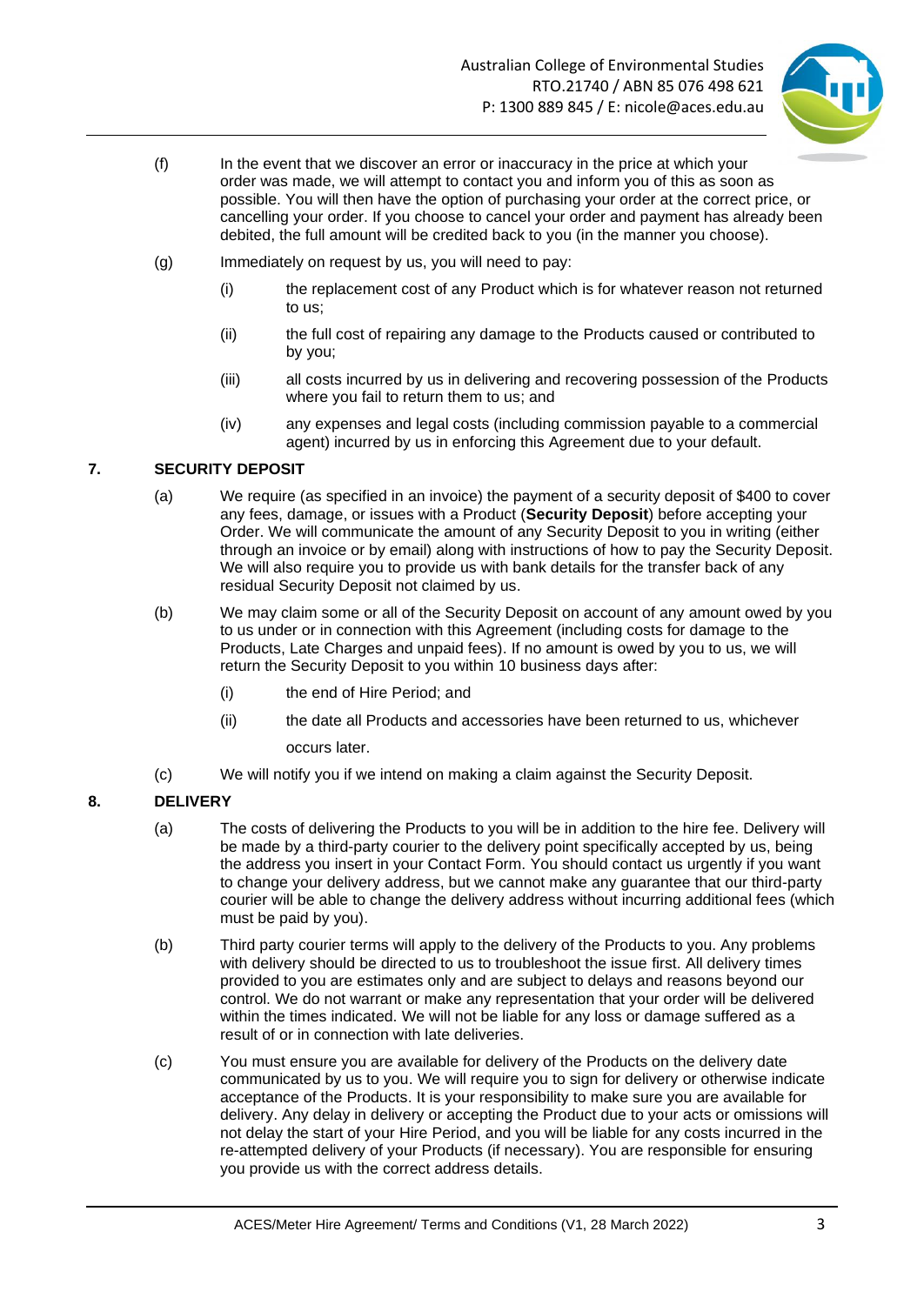

- (f) In the event that we discover an error or inaccuracy in the price at which your order was made, we will attempt to contact you and inform you of this as soon as possible. You will then have the option of purchasing your order at the correct price, or cancelling your order. If you choose to cancel your order and payment has already been debited, the full amount will be credited back to you (in the manner you choose).
- (g) Immediately on request by us, you will need to pay:
	- (i) the replacement cost of any Product which is for whatever reason not returned to us;
	- (ii) the full cost of repairing any damage to the Products caused or contributed to by you;
	- (iii) all costs incurred by us in delivering and recovering possession of the Products where you fail to return them to us; and
	- (iv) any expenses and legal costs (including commission payable to a commercial agent) incurred by us in enforcing this Agreement due to your default.

## <span id="page-2-0"></span>**7. SECURITY DEPOSIT**

- (a) We require (as specified in an invoice) the payment of a security deposit of \$400 to cover any fees, damage, or issues with a Product (**Security Deposit**) before accepting your Order. We will communicate the amount of any Security Deposit to you in writing (either through an invoice or by email) along with instructions of how to pay the Security Deposit. We will also require you to provide us with bank details for the transfer back of any residual Security Deposit not claimed by us.
- (b) We may claim some or all of the Security Deposit on account of any amount owed by you to us under or in connection with this Agreement (including costs for damage to the Products, Late Charges and unpaid fees). If no amount is owed by you to us, we will return the Security Deposit to you within 10 business days after:
	- (i) the end of Hire Period; and
	- (ii) the date all Products and accessories have been returned to us, whichever occurs later.
- (c) We will notify you if we intend on making a claim against the Security Deposit.

# <span id="page-2-1"></span>**8. DELIVERY**

- (a) The costs of delivering the Products to you will be in addition to the hire fee. Delivery will be made by a third-party courier to the delivery point specifically accepted by us, being the address you insert in your Contact Form. You should contact us urgently if you want to change your delivery address, but we cannot make any guarantee that our third-party courier will be able to change the delivery address without incurring additional fees (which must be paid by you).
- (b) Third party courier terms will apply to the delivery of the Products to you. Any problems with delivery should be directed to us to troubleshoot the issue first. All delivery times provided to you are estimates only and are subject to delays and reasons beyond our control. We do not warrant or make any representation that your order will be delivered within the times indicated. We will not be liable for any loss or damage suffered as a result of or in connection with late deliveries.
- (c) You must ensure you are available for delivery of the Products on the delivery date communicated by us to you. We will require you to sign for delivery or otherwise indicate acceptance of the Products. It is your responsibility to make sure you are available for delivery. Any delay in delivery or accepting the Product due to your acts or omissions will not delay the start of your Hire Period, and you will be liable for any costs incurred in the re-attempted delivery of your Products (if necessary). You are responsible for ensuring you provide us with the correct address details.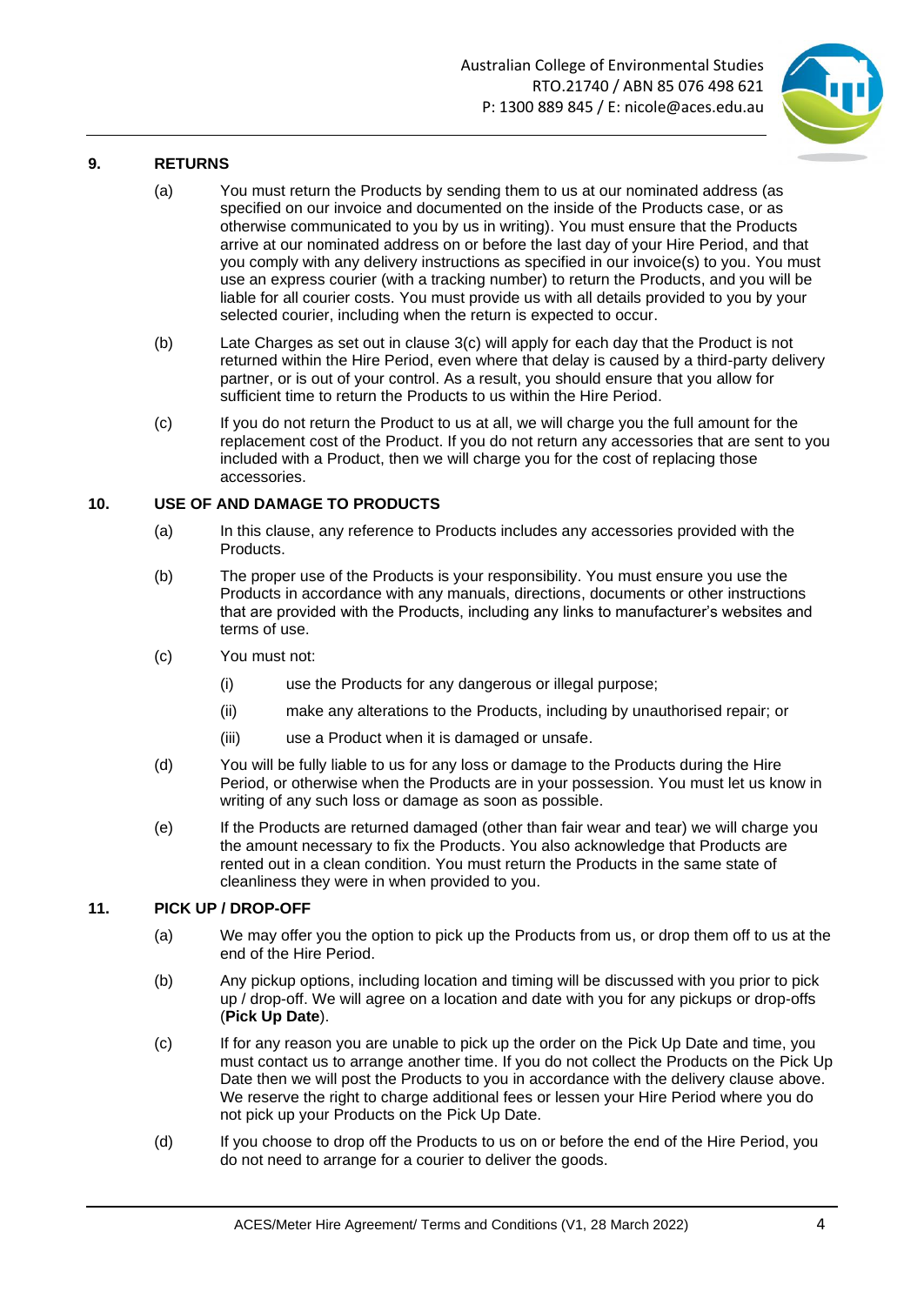

### **9. RETURNS**

- (a) You must return the Products by sending them to us at our nominated address (as specified on our invoice and documented on the inside of the Products case, or as otherwise communicated to you by us in writing). You must ensure that the Products arrive at our nominated address on or before the last day of your Hire Period, and that you comply with any delivery instructions as specified in our invoice(s) to you. You must use an express courier (with a tracking number) to return the Products, and you will be liable for all courier costs. You must provide us with all details provided to you by your selected courier, including when the return is expected to occur.
- (b) Late Charges as set out in clause [3\(c\)](#page-1-0) will apply for each day that the Product is not returned within the Hire Period, even where that delay is caused by a third-party delivery partner, or is out of your control. As a result, you should ensure that you allow for sufficient time to return the Products to us within the Hire Period.
- (c) If you do not return the Product to us at all, we will charge you the full amount for the replacement cost of the Product. If you do not return any accessories that are sent to you included with a Product, then we will charge you for the cost of replacing those accessories.

### **10. USE OF AND DAMAGE TO PRODUCTS**

- (a) In this clause, any reference to Products includes any accessories provided with the Products.
- (b) The proper use of the Products is your responsibility. You must ensure you use the Products in accordance with any manuals, directions, documents or other instructions that are provided with the Products, including any links to manufacturer's websites and terms of use.
- (c) You must not:
	- (i) use the Products for any dangerous or illegal purpose;
	- (ii) make any alterations to the Products, including by unauthorised repair; or
	- (iii) use a Product when it is damaged or unsafe.
- (d) You will be fully liable to us for any loss or damage to the Products during the Hire Period, or otherwise when the Products are in your possession. You must let us know in writing of any such loss or damage as soon as possible.
- (e) If the Products are returned damaged (other than fair wear and tear) we will charge you the amount necessary to fix the Products. You also acknowledge that Products are rented out in a clean condition. You must return the Products in the same state of cleanliness they were in when provided to you.

### **11. PICK UP / DROP-OFF**

- (a) We may offer you the option to pick up the Products from us, or drop them off to us at the end of the Hire Period.
- (b) Any pickup options, including location and timing will be discussed with you prior to pick up / drop-off. We will agree on a location and date with you for any pickups or drop-offs (**Pick Up Date**).
- (c) If for any reason you are unable to pick up the order on the Pick Up Date and time, you must contact us to arrange another time. If you do not collect the Products on the Pick Up Date then we will post the Products to you in accordance with the delivery clause above. We reserve the right to charge additional fees or lessen your Hire Period where you do not pick up your Products on the Pick Up Date.
- (d) If you choose to drop off the Products to us on or before the end of the Hire Period, you do not need to arrange for a courier to deliver the goods.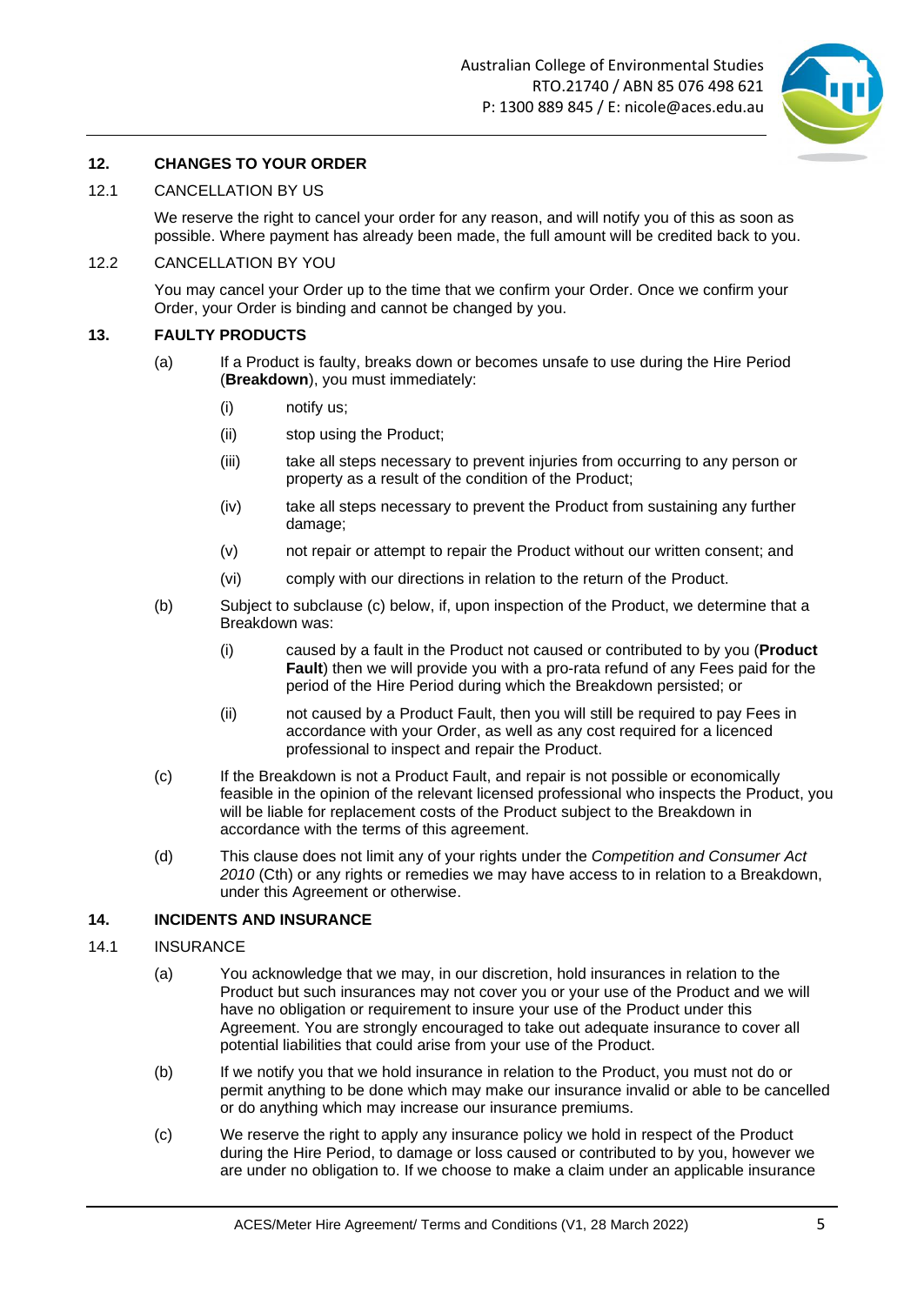

### **12. CHANGES TO YOUR ORDER**

#### 12.1 CANCELLATION BY US

We reserve the right to cancel your order for any reason, and will notify you of this as soon as possible. Where payment has already been made, the full amount will be credited back to you.

#### 12.2 CANCELLATION BY YOU

You may cancel your Order up to the time that we confirm your Order. Once we confirm your Order, your Order is binding and cannot be changed by you.

### **13. FAULTY PRODUCTS**

- (a) If a Product is faulty, breaks down or becomes unsafe to use during the Hire Period (**Breakdown**), you must immediately:
	- (i) notify us;
	- (ii) stop using the Product;
	- (iii) take all steps necessary to prevent injuries from occurring to any person or property as a result of the condition of the Product;
	- (iv) take all steps necessary to prevent the Product from sustaining any further damage;
	- (v) not repair or attempt to repair the Product without our written consent; and
	- (vi) comply with our directions in relation to the return of the Product.
- (b) Subject to subclause (c) below, if, upon inspection of the Product, we determine that a Breakdown was:
	- (i) caused by a fault in the Product not caused or contributed to by you (**Product Fault**) then we will provide you with a pro-rata refund of any Fees paid for the period of the Hire Period during which the Breakdown persisted; or
	- (ii) not caused by a Product Fault, then you will still be required to pay Fees in accordance with your Order, as well as any cost required for a licenced professional to inspect and repair the Product.
- (c) If the Breakdown is not a Product Fault, and repair is not possible or economically feasible in the opinion of the relevant licensed professional who inspects the Product, you will be liable for replacement costs of the Product subject to the Breakdown in accordance with the terms of this agreement.
- (d) This clause does not limit any of your rights under the *Competition and Consumer Act 2010* (Cth) or any rights or remedies we may have access to in relation to a Breakdown, under this Agreement or otherwise.

### **14. INCIDENTS AND INSURANCE**

#### 14.1 INSURANCE

- (a) You acknowledge that we may, in our discretion, hold insurances in relation to the Product but such insurances may not cover you or your use of the Product and we will have no obligation or requirement to insure your use of the Product under this Agreement. You are strongly encouraged to take out adequate insurance to cover all potential liabilities that could arise from your use of the Product.
- (b) If we notify you that we hold insurance in relation to the Product, you must not do or permit anything to be done which may make our insurance invalid or able to be cancelled or do anything which may increase our insurance premiums.
- (c) We reserve the right to apply any insurance policy we hold in respect of the Product during the Hire Period, to damage or loss caused or contributed to by you, however we are under no obligation to. If we choose to make a claim under an applicable insurance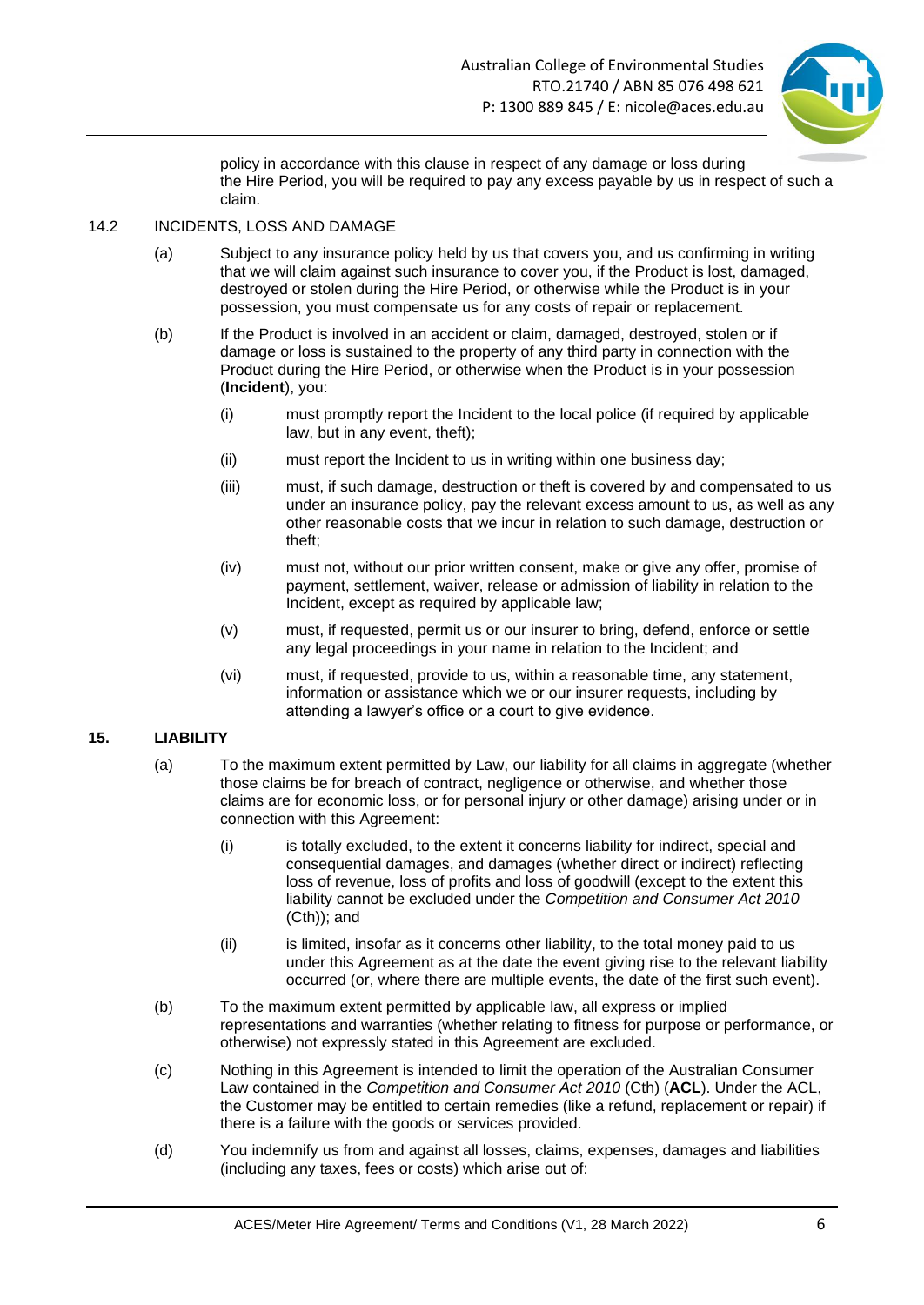

policy in accordance with this clause in respect of any damage or loss during the Hire Period, you will be required to pay any excess payable by us in respect of such a claim.

#### 14.2 INCIDENTS, LOSS AND DAMAGE

- (a) Subject to any insurance policy held by us that covers you, and us confirming in writing that we will claim against such insurance to cover you, if the Product is lost, damaged, destroyed or stolen during the Hire Period, or otherwise while the Product is in your possession, you must compensate us for any costs of repair or replacement.
- (b) If the Product is involved in an accident or claim, damaged, destroyed, stolen or if damage or loss is sustained to the property of any third party in connection with the Product during the Hire Period, or otherwise when the Product is in your possession (**Incident**), you:
	- (i) must promptly report the Incident to the local police (if required by applicable law, but in any event, theft);
	- (ii) must report the Incident to us in writing within one business day;
	- (iii) must, if such damage, destruction or theft is covered by and compensated to us under an insurance policy, pay the relevant excess amount to us, as well as any other reasonable costs that we incur in relation to such damage, destruction or theft;
	- (iv) must not, without our prior written consent, make or give any offer, promise of payment, settlement, waiver, release or admission of liability in relation to the Incident, except as required by applicable law;
	- (v) must, if requested, permit us or our insurer to bring, defend, enforce or settle any legal proceedings in your name in relation to the Incident; and
	- (vi) must, if requested, provide to us, within a reasonable time, any statement, information or assistance which we or our insurer requests, including by attending a lawyer's office or a court to give evidence.

### **15. LIABILITY**

- (a) To the maximum extent permitted by Law, our liability for all claims in aggregate (whether those claims be for breach of contract, negligence or otherwise, and whether those claims are for economic loss, or for personal injury or other damage) arising under or in connection with this Agreement:
	- (i) is totally excluded, to the extent it concerns liability for indirect, special and consequential damages, and damages (whether direct or indirect) reflecting loss of revenue, loss of profits and loss of goodwill (except to the extent this liability cannot be excluded under the *Competition and Consumer Act 2010* (Cth)); and
	- (ii) is limited, insofar as it concerns other liability, to the total money paid to us under this Agreement as at the date the event giving rise to the relevant liability occurred (or, where there are multiple events, the date of the first such event).
- (b) To the maximum extent permitted by applicable law, all express or implied representations and warranties (whether relating to fitness for purpose or performance, or otherwise) not expressly stated in this Agreement are excluded.
- (c) Nothing in this Agreement is intended to limit the operation of the Australian Consumer Law contained in the *Competition and Consumer Act 2010* (Cth) (**ACL**). Under the ACL, the Customer may be entitled to certain remedies (like a refund, replacement or repair) if there is a failure with the goods or services provided.
- (d) You indemnify us from and against all losses, claims, expenses, damages and liabilities (including any taxes, fees or costs) which arise out of: